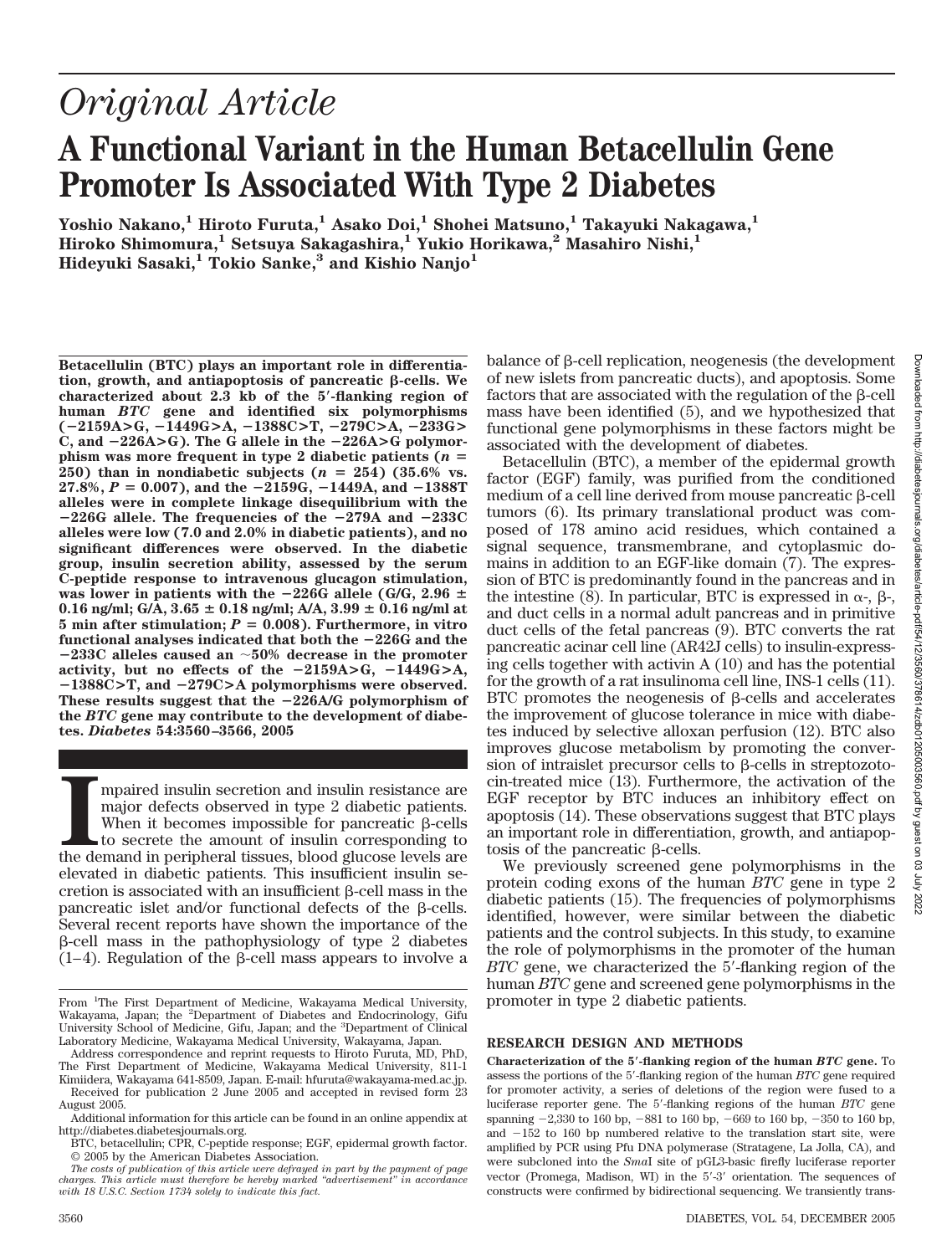# *Original Article*

## **A Functional Variant in the Human Betacellulin Gene Promoter Is Associated With Type 2 Diabetes**

**Yoshio Nakano,1 Hiroto Furuta,1 Asako Doi,1 Shohei Matsuno,1 Takayuki Nakagawa,1 Hiroko Shimomura,1 Setsuya Sakagashira,1 Yukio Horikawa,2 Masahiro Nishi,1 Hideyuki Sasaki,1 Tokio Sanke,3 and Kishio Nanjo1**

**Betacellulin (BTC) plays an important role in differentia** $t$ ion, growth, and antiapoptosis of pancreatic  $\beta$ -cells. We **characterized about 2.3 kb of the 5-flanking region of human** *BTC* **gene and identified six polymorphisms (**-**2159A>G,** -**1449G>A,** -**1388C>T,** -**279C>A,** -**233G>**  $C$ , and  $-226A > G$ ). The G allele in the  $-226A > G$  polymor**phism was more frequent in type 2 diabetic patients (***n* 250) than in nondiabetic subjects  $(n = 254)$  (35.6% vs.  $27.8\%, P = 0.007$ ), and the  $-2159G, -1449A,$  and  $-1388T$ **alleles were in complete linkage disequilibrium with the**  $-226G$  allele. The frequencies of the  $-279A$  and  $-233C$ **alleles were low (7.0 and 2.0% in diabetic patients), and no significant differences were observed. In the diabetic group, insulin secretion ability, assessed by the serum C-peptide response to intravenous glucagon stimulation,** was lower in patients with the  $-226G$  allele (G/G,  $2.96 \pm$ **0.16 ng/ml; G/A, 3.65 0.18 ng/ml; A/A, 3.99 0.16 ng/ml at** 5 min after stimulation;  $P = 0.008$ ). Furthermore, in vitro **functional analyses indicated that both the** -**226G and the** -**233C alleles caused an 50% decrease in the promoter activity, but no effects of the** -**2159A>G,** -**1449G>A,** -**1388C>T, and** -**279C>A polymorphisms were observed.** These results suggest that the  $-226\text{A/G}$  polymorphism of **the** *BTC* **gene may contribute to the development of diabetes.** *Diabetes* **54:3560 –3566, 2005**

**I** the demand in peripheral tissues, blood glucose levels are mpaired insulin secretion and insulin resistance are major defects observed in type 2 diabetic patients. When it becomes impossible for pancreatic  $\beta$ -cells to secrete the amount of insulin corresponding to elevated in diabetic patients. This insufficient insulin secretion is associated with an insufficient  $\beta$ -cell mass in the pancreatic islet and/or functional defects of the  $\beta$ -cells. Several recent reports have shown the importance of the --cell mass in the pathophysiology of type 2 diabetes  $(1-4)$ . Regulation of the  $\beta$ -cell mass appears to involve a

balance of  $\beta$ -cell replication, neogenesis (the development of new islets from pancreatic ducts), and apoptosis. Some factors that are associated with the regulation of the  $\beta$ -cell mass have been identified (5), and we hypothesized that functional gene polymorphisms in these factors might be associated with the development of diabetes.

Betacellulin (BTC), a member of the epidermal growth factor (EGF) family, was purified from the conditioned medium of a cell line derived from mouse pancreatic  $\beta$ -cell tumors (6). Its primary translational product was composed of 178 amino acid residues, which contained a signal sequence, transmembrane, and cytoplasmic domains in addition to an EGF-like domain (7). The expression of BTC is predominantly found in the pancreas and in the intestine (8). In particular, BTC is expressed in  $\alpha$ -,  $\beta$ -, and duct cells in a normal adult pancreas and in primitive duct cells of the fetal pancreas (9). BTC converts the rat pancreatic acinar cell line (AR42J cells) to insulin-expressing cells together with activin A (10) and has the potential for the growth of a rat insulinoma cell line, INS-1 cells (11). BTC promotes the neogenesis of  $\beta$ -cells and accelerates the improvement of glucose tolerance in mice with diabetes induced by selective alloxan perfusion (12). BTC also improves glucose metabolism by promoting the conversion of intraislet precursor cells to  $\beta$ -cells in streptozotocin-treated mice (13). Furthermore, the activation of the EGF receptor by BTC induces an inhibitory effect on apoptosis (14). These observations suggest that BTC plays an important role in differentiation, growth, and antiapoptosis of the pancreatic  $\beta$ -cells.

We previously screened gene polymorphisms in the protein coding exons of the human *BTC* gene in type 2 diabetic patients (15). The frequencies of polymorphisms identified, however, were similar between the diabetic patients and the control subjects. In this study, to examine the role of polymorphisms in the promoter of the human *BTC* gene, we characterized the 5'-flanking region of the human *BTC* gene and screened gene polymorphisms in the promoter in type 2 diabetic patients.

#### **RESEARCH DESIGN AND METHODS**

**Characterization of the 5-flanking region of the human** *BTC* **gene.** To assess the portions of the 5-flanking region of the human *BTC* gene required for promoter activity, a series of deletions of the region were fused to a luciferase reporter gene. The 5-flanking regions of the human *BTC* gene spanning  $-2,330$  to 160 bp,  $-881$  to 160 bp,  $-669$  to 160 bp,  $-350$  to 160 bp, and  $-152$  to 160 bp numbered relative to the translation start site, were amplified by PCR using Pfu DNA polymerase (Stratagene, La Jolla, CA), and were subcloned into the *Sma*I site of pGL3-basic firefly luciferase reporter vector (Promega, Madison, WI) in the  $5'·3'$  orientation. The sequences of constructs were confirmed by bidirectional sequencing. We transiently trans-

From <sup>1</sup>The First Department of Medicine, Wakayama Medical University, Wakayama, Japan; the <sup>2</sup>Department of Diabetes and Endocrinology, Gifu University School of Medicine, Gifu, Japan; and the <sup>3</sup>Department of Clinical Laboratory Medicine, Wakayama Medical University, Wakayama, Japan.

Address correspondence and reprint requests to Hiroto Furuta, MD, PhD, The First Department of Medicine, Wakayama Medical University, 811-1

Kimiidera, Wakayama 641-8509, Japan. E-mail: hfuruta@wakayama-med.ac.jp. Received for publication 2 June 2005 and accepted in revised form 23 August 2005.

Additional information for this article can be found in an online appendix at http://diabetes.diabetesjournals.org.

BTC, betacellulin; CPR, C-peptide response; EGF, epidermal growth factor. © 2005 by the American Diabetes Association.

*The costs of publication of this article were defrayed in part by the payment of page charges. This article must therefore be hereby marked "advertisement" in accordance with 18 U.S.C. Section 1734 solely to indicate this fact.*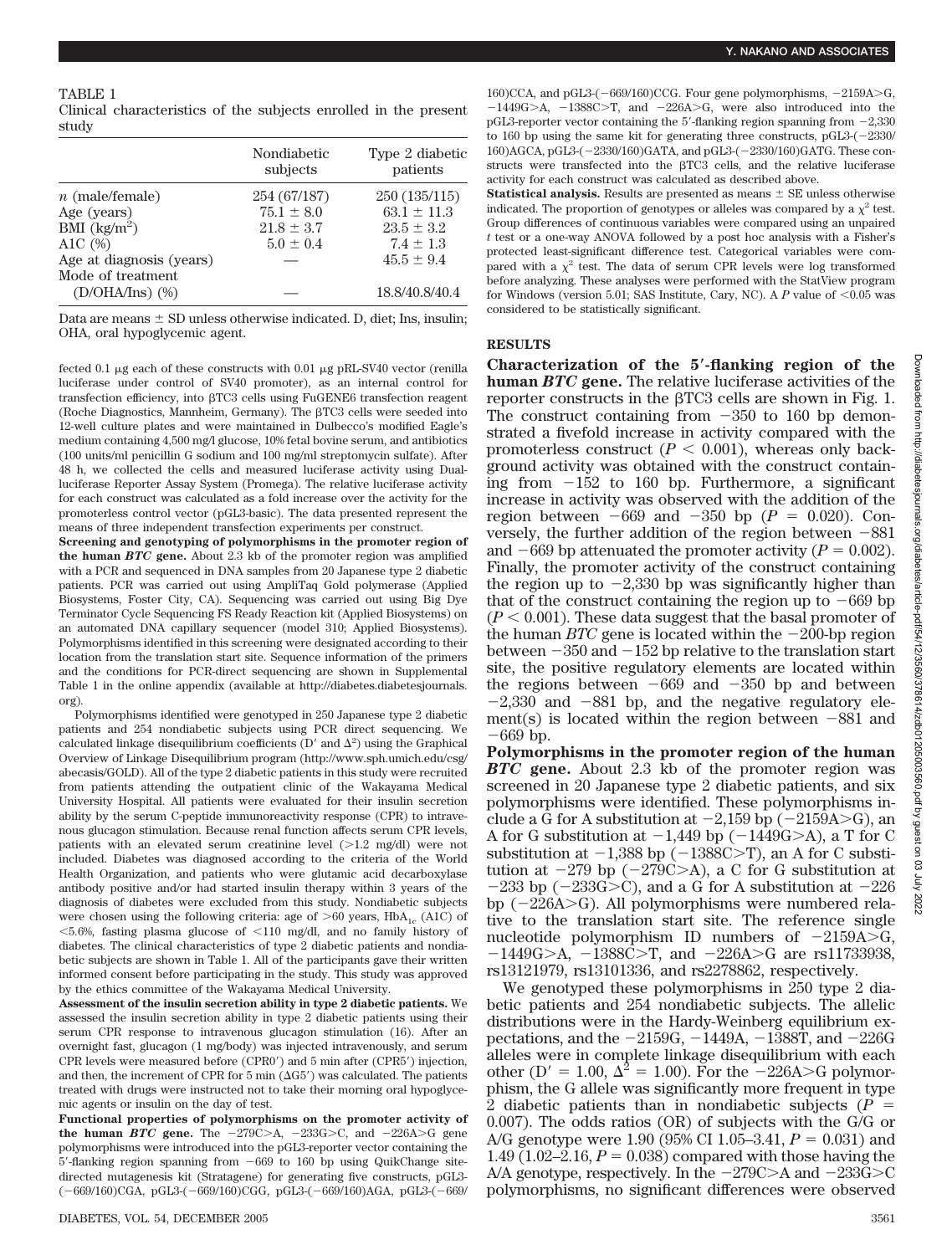Clinical characteristics of the subjects enrolled in the present study

|                                           | Nondiabetic<br>subjects | Type 2 diabetic<br>patients |
|-------------------------------------------|-------------------------|-----------------------------|
| $n$ (male/female)                         | 254 (67/187)            | 250 (135/115)               |
| Age (years)                               | $75.1 \pm 8.0$          | $63.1 \pm 11.3$             |
| BMI $\left(\frac{kg}{m^2}\right)$         | $21.8 \pm 3.7$          | $23.5 \pm 3.2$              |
| A1C $(%)$                                 | $5.0 \pm 0.4$           | $7.4 \pm 1.3$               |
| Age at diagnosis (years)                  |                         | $45.5 \pm 9.4$              |
| Mode of treatment<br>$(D/OHA/Ins)$ $(\%)$ |                         | 18.8/40.8/40.4              |

Data are means  $\pm$  SD unless otherwise indicated. D, diet; Ins, insulin; OHA, oral hypoglycemic agent.

fected 0.1  $\mu$ g each of these constructs with 0.01  $\mu$ g pRL-SV40 vector (renilla luciferase under control of SV40 promoter), as an internal control for transfection efficiency, into  $\beta$ TC3 cells using FuGENE6 transfection reagent (Roche Diagnostics, Mannheim, Germany). The  $\beta$ TC3 cells were seeded into 12-well culture plates and were maintained in Dulbecco's modified Eagle's medium containing 4,500 mg/l glucose, 10% fetal bovine serum, and antibiotics (100 units/ml penicillin G sodium and 100 mg/ml streptomycin sulfate). After 48 h, we collected the cells and measured luciferase activity using Dualluciferase Reporter Assay System (Promega). The relative luciferase activity for each construct was calculated as a fold increase over the activity for the promoterless control vector (pGL3-basic). The data presented represent the means of three independent transfection experiments per construct.

**Screening and genotyping of polymorphisms in the promoter region of the human** *BTC* **gene.** About 2.3 kb of the promoter region was amplified with a PCR and sequenced in DNA samples from 20 Japanese type 2 diabetic patients. PCR was carried out using AmpliTaq Gold polymerase (Applied Biosystems, Foster City, CA). Sequencing was carried out using Big Dye Terminator Cycle Sequencing FS Ready Reaction kit (Applied Biosystems) on an automated DNA capillary sequencer (model 310; Applied Biosystems). Polymorphisms identified in this screening were designated according to their location from the translation start site. Sequence information of the primers and the conditions for PCR-direct sequencing are shown in Supplemental Table 1 in the online appendix (available at http://diabetes.diabetesjournals. org)*.*

Polymorphisms identified were genotyped in 250 Japanese type 2 diabetic patients and 254 nondiabetic subjects using PCR direct sequencing. We calculated linkage disequilibrium coefficients (D' and  $\Delta^2$ ) using the Graphical Overview of Linkage Disequilibrium program (http://www.sph.umich.edu/csg/ abecasis/GOLD). All of the type 2 diabetic patients in this study were recruited from patients attending the outpatient clinic of the Wakayama Medical University Hospital. All patients were evaluated for their insulin secretion ability by the serum C-peptide immunoreactivity response (CPR) to intravenous glucagon stimulation. Because renal function affects serum CPR levels, patients with an elevated serum creatinine level  $(>1.2 \text{ mg/dl})$  were not included. Diabetes was diagnosed according to the criteria of the World Health Organization, and patients who were glutamic acid decarboxylase antibody positive and/or had started insulin therapy within 3 years of the diagnosis of diabetes were excluded from this study. Nondiabetic subjects were chosen using the following criteria: age of  $>60$  years, HbA<sub>1c</sub> (A1C) of  $<$  5.6%, fasting plasma glucose of  $<$  110 mg/dl, and no family history of diabetes. The clinical characteristics of type 2 diabetic patients and nondiabetic subjects are shown in Table 1. All of the participants gave their written informed consent before participating in the study. This study was approved by the ethics committee of the Wakayama Medical University.

**Assessment of the insulin secretion ability in type 2 diabetic patients.** We assessed the insulin secretion ability in type 2 diabetic patients using their serum CPR response to intravenous glucagon stimulation (16). After an overnight fast, glucagon (1 mg/body) was injected intravenously, and serum CPR levels were measured before (CPR0') and 5 min after (CPR5') injection, and then, the increment of CPR for 5 min  $(\Delta G5')$  was calculated. The patients treated with drugs were instructed not to take their morning oral hypoglycemic agents or insulin on the day of test.

**Functional properties of polymorphisms on the promoter activity of** the human *BTC* gene. The  $-279C>A$ ,  $-233G>C$ , and  $-226A>C$  gene polymorphisms were introduced into the pGL3-reporter vector containing the  $5'$ -flanking region spanning from  $-669$  to 160 bp using QuikChange sitedirected mutagenesis kit (Stratagene) for generating five constructs, pGL3- (-669/160)CGA, pGL3-(-669/160)CGG, pGL3-(-669/160)AGA, pGL3-(-669/

160)CCA, and pGL3-( $-669/160$ )CCG. Four gene polymorphisms,  $-2159A > G$ ,  $-1449G>A$ ,  $-1388C>T$ , and  $-226A>G$ , were also introduced into the pGL3-reporter vector containing the 5'-flanking region spanning from  $-2.330$ to 160 bp using the same kit for generating three constructs,  $pGL3-2330/$ 160)AGCA, pGL3-(2330/160)GATA, and pGL3-(2330/160)GATG. These constructs were transfected into the  $\beta$ TC3 cells, and the relative luciferase activity for each construct was calculated as described above.

**Statistical analysis.** Results are presented as means  $\pm$  SE unless otherwise indicated. The proportion of genotypes or alleles was compared by a  $\chi^2$  test. Group differences of continuous variables were compared using an unpaired *t* test or a one-way ANOVA followed by a post hoc analysis with a Fisher's protected least-significant difference test. Categorical variables were compared with a  $\chi^2$  test. The data of serum CPR levels were log transformed before analyzing. These analyses were performed with the StatView program for Windows (version 5.01; SAS Institute, Cary, NC). A  $P$  value of  $\leq 0.05$  was considered to be statistically significant.

### **RESULTS**

**Characterization of the 5-flanking region of the human** *BTC* **gene.** The relative luciferase activities of the  $\mu$  reporter constructs in the  $\beta$ TC3 cells are shown in Fig. 1. The construct containing from  $-350$  to 160 bp demonstrated a fivefold increase in activity compared with the promoterless construct  $(P < 0.001)$ , whereas only background activity was obtained with the construct containing from  $-152$  to 160 bp. Furthermore, a significant increase in activity was observed with the addition of the region between  $-669$  and  $-350$  bp ( $P = 0.020$ ). Conversely, the further addition of the region between  $-881$ and  $-669$  bp attenuated the promoter activity ( $P = 0.002$ ). Finally, the promoter activity of the construct containing the region up to  $-2,330$  bp was significantly higher than that of the construct containing the region up to  $-669$  bp  $(P < 0.001)$ . These data suggest that the basal promoter of the human *BTC* gene is located within the  $-200$ -bp region between  $-350$  and  $-152$  bp relative to the translation start site, the positive regulatory elements are located within the regions between  $-669$  and  $-350$  bp and between  $-2,330$  and  $-881$  bp, and the negative regulatory element(s) is located within the region between  $-881$  and 669 bp.

**Polymorphisms in the promoter region of the human** *BTC* **gene.** About 2.3 kb of the promoter region was screened in 20 Japanese type 2 diabetic patients, and six polymorphisms were identified. These polymorphisms include a G for A substitution at  $-2,159$  bp ( $-2159A>$ G), an A for G substitution at  $-1,449$  bp ( $-1449G>A$ ), a T for C substitution at  $-1,388$  bp ( $-1388C>T$ ), an A for C substitution at  $-279$  bp  $(-279C>A)$ , a C for G substitution at  $-233$  bp ( $-233G>C$ ), and a G for A substitution at  $-226$ bp  $(-226A> G)$ . All polymorphisms were numbered relative to the translation start site. The reference single nucleotide polymorphism ID numbers of  $-2159A > G$ ,  $-1449G$ >A,  $-1388C$ >T, and  $-226A$ >G are rs11733938, rs13121979, rs13101336, and rs2278862, respectively.

We genotyped these polymorphisms in 250 type 2 diabetic patients and 254 nondiabetic subjects. The allelic distributions were in the Hardy-Weinberg equilibrium expectations, and the  $-2159G$ ,  $-1449A$ ,  $-1388T$ , and  $-226G$ alleles were in complete linkage disequilibrium with each other (D' = 1.00,  $\Delta^2$  = 1.00). For the -226A>G polymorphism, the G allele was significantly more frequent in type 2 diabetic patients than in nondiabetic subjects (*P* 0.007). The odds ratios (OR) of subjects with the G/G or A/G genotype were 1.90 (95% CI 1.05–3.41,  $P = 0.031$ ) and 1.49 (1.02–2.16,  $P = 0.038$ ) compared with those having the A/A genotype, respectively. In the  $-279C>A$  and  $-233G>C$ polymorphisms, no significant differences were observed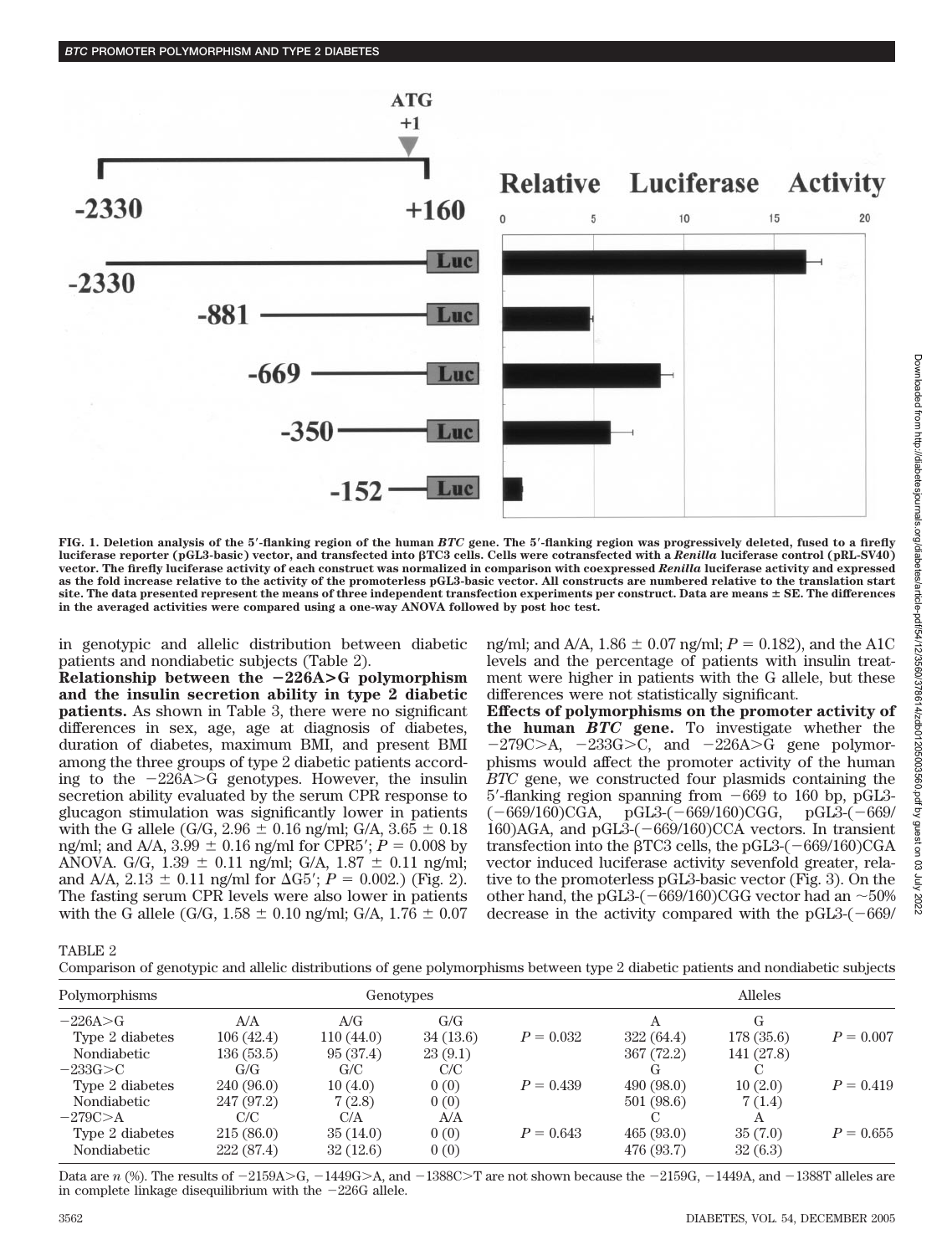

**FIG. 1. Deletion analysis of the 5-flanking region of the human** *BTC* **gene. The 5-flanking region was progressively deleted, fused to a firefly luciferase reporter (pGL3-basic) vector, and transfected into TC3 cells. Cells were cotransfected with a** *Renilla* **luciferase control (pRL-SV40) vector. The firefly luciferase activity of each construct was normalized in comparison with coexpressed** *Renilla* **luciferase activity and expressed as the fold increase relative to the activity of the promoterless pGL3-basic vector. All constructs are numbered relative to the translation start site. The data presented represent the means of three independent transfection experiments per construct. Data are means SE. The differences in the averaged activities were compared using a one-way ANOVA followed by post hoc test.**

in genotypic and allelic distribution between diabetic patients and nondiabetic subjects (Table 2).

*BTC* **PROMOTER POLYMORPHISM AND TYPE 2 DIABETES**

**Relationship between the** -**226A>G polymorphism and the insulin secretion ability in type 2 diabetic patients.** As shown in Table 3, there were no significant differences in sex, age, age at diagnosis of diabetes, duration of diabetes, maximum BMI, and present BMI among the three groups of type 2 diabetic patients according to the  $-226A > G$  genotypes. However, the insulin secretion ability evaluated by the serum CPR response to glucagon stimulation was significantly lower in patients with the G allele (G/G, 2.96  $\pm$  0.16 ng/ml; G/A, 3.65  $\pm$  0.18 ng/ml; and A/A,  $3.99 \pm 0.16$  ng/ml for CPR5';  $P = 0.008$  by ANOVA. G/G,  $1.39 \pm 0.11$  ng/ml; G/A,  $1.87 \pm 0.11$  ng/ml; and A/A,  $2.13 \pm 0.11$  ng/ml for  $\Delta G5$ ;  $P = 0.002$ .) (Fig. 2). The fasting serum CPR levels were also lower in patients with the G allele (G/G,  $1.58 \pm 0.10$  ng/ml; G/A,  $1.76 \pm 0.07$ 

ng/ml; and A/A,  $1.86 \pm 0.07$  ng/ml;  $P = 0.182$ ), and the A1C levels and the percentage of patients with insulin treatment were higher in patients with the G allele, but these differences were not statistically significant.

**Effects of polymorphisms on the promoter activity of the human** *BTC* **gene.** To investigate whether the  $-279C>A$ ,  $-233G>C$ , and  $-226A>C$  gene polymorphisms would affect the promoter activity of the human *BTC* gene, we constructed four plasmids containing the 5'-flanking region spanning from  $-669$  to 160 bp, pGL3- $(-669/160)CG$ , pGL3- $(-669/160)CG$  $pGL3-(-669/160)CGG,$ 160)AGA, and pGL $\overline{3}$ -(-669/160)CCA vectors. In transient transfection into the  $\beta$ TC3 cells, the pGL3-(-669/160)CGA vector induced luciferase activity sevenfold greater, relative to the promoterless pGL3-basic vector (Fig. 3). On the other hand, the pGL3-( $-669/160$ )CGG vector had an  $\sim 50\%$ decrease in the activity compared with the  $pGL3-669/$ 

TABLE 2

Comparison of genotypic and allelic distributions of gene polymorphisms between type 2 diabetic patients and nondiabetic subjects

| Polymorphisms                                 | Genotypes                     |                             |                     | <b>Alleles</b> |                         |                    |             |
|-----------------------------------------------|-------------------------------|-----------------------------|---------------------|----------------|-------------------------|--------------------|-------------|
| $-226A > G$<br>Type 2 diabetes                | A/A<br>106(42.4)              | A/G<br>110(44.0)            | G/G<br>34(13.6)     | $P = 0.032$    | 322(64.4)               | G<br>178(35.6)     | $P = 0.007$ |
| Nondiabetic<br>$-233G>C$                      | 136(53.5)<br>G/G              | 95 (37.4)<br>G/C            | 23(9.1)<br>C/C      |                | 367(72.2)               | 141 (27.8)         |             |
| Type 2 diabetes<br>Nondiabetic                | 240 (96.0)<br>247 (97.2)      | 10(4.0)<br>7(2.8)           | 0(0)<br>0(0)        | $P = 0.439$    | 490(98.0)<br>501 (98.6) | 10(2.0)<br>7(1.4)  | $P = 0.419$ |
| $-279C > A$<br>Type 2 diabetes<br>Nondiabetic | C/C<br>215(86.0)<br>222(87.4) | C/A<br>35(14.0)<br>32(12.6) | A/A<br>0(0)<br>0(0) | $P = 0.643$    | 465(93.0)<br>476 (93.7) | 35(7.0)<br>32(6.3) | $P = 0.655$ |

Data are  $n$  (%). The results of  $-2159A > G$ ,  $-1449G > A$ , and  $-1388C > T$  are not shown because the  $-2159G$ ,  $-1449A$ , and  $-1388T$  alleles are in complete linkage disequilibrium with the  $-226G$  allele.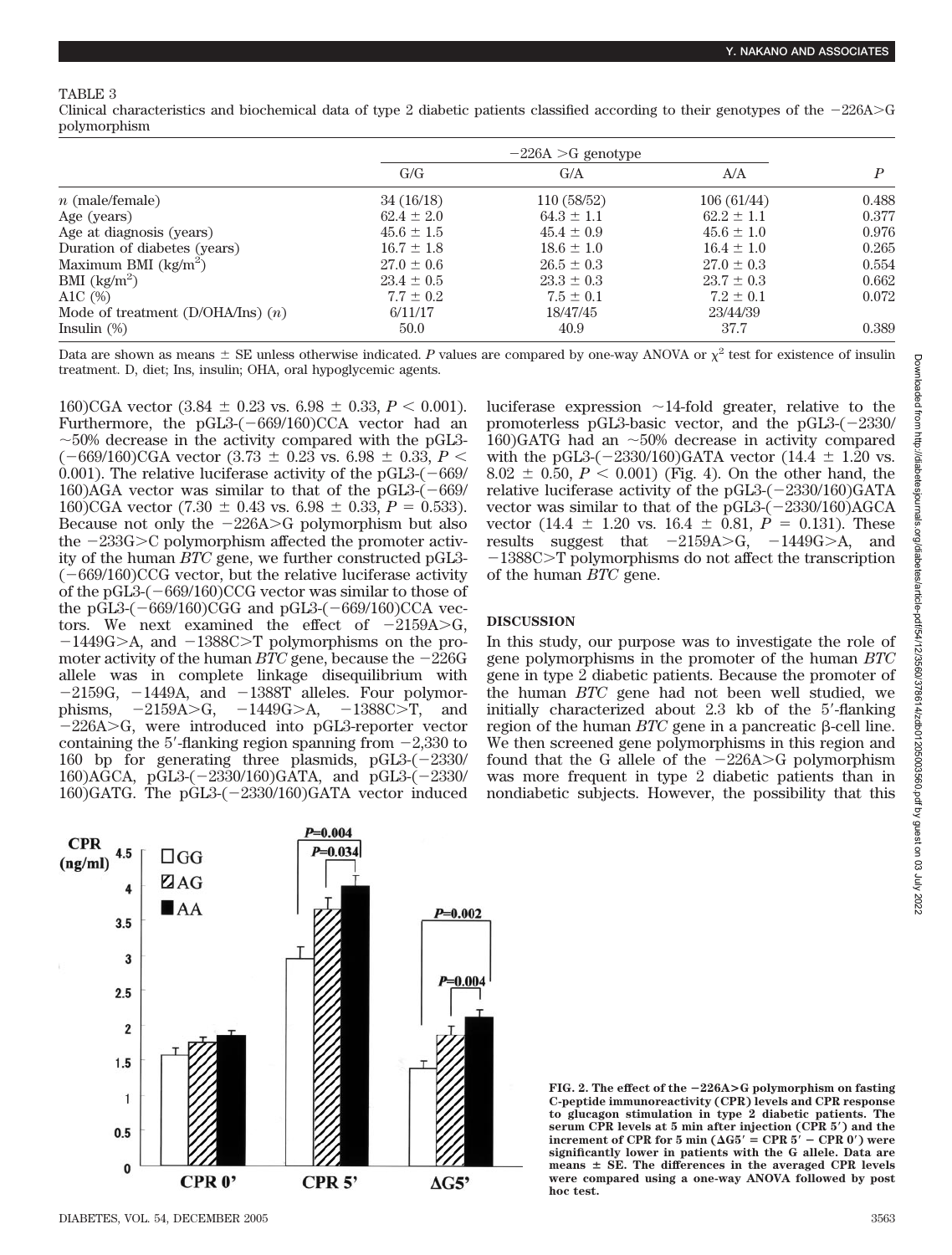#### TABLE 3

Clinical characteristics and biochemical data of type 2 diabetic patients classified according to their genotypes of the  $-226A>G$ polymorphism

|                                     | $-226A > G$ genotype |                |                |       |
|-------------------------------------|----------------------|----------------|----------------|-------|
|                                     | G/G                  | G/A            | A/A            |       |
| $n$ (male/female)                   | 34(16/18)            | 110 (58/52)    | 106(61/44)     | 0.488 |
| Age (years)                         | $62.4 \pm 2.0$       | $64.3 \pm 1.1$ | $62.2 \pm 1.1$ | 0.377 |
| Age at diagnosis (years)            | $45.6 \pm 1.5$       | $45.4 \pm 0.9$ | $45.6 \pm 1.0$ | 0.976 |
| Duration of diabetes (years)        | $16.7 \pm 1.8$       | $18.6 \pm 1.0$ | $16.4 \pm 1.0$ | 0.265 |
| Maximum BMI $(kg/m^2)$              | $27.0 \pm 0.6$       | $26.5 \pm 0.3$ | $27.0 \pm 0.3$ | 0.554 |
| $BMI$ (kg/m <sup>2</sup> )          | $23.4 \pm 0.5$       | $23.3 \pm 0.3$ | $23.7 \pm 0.3$ | 0.662 |
| A1C $(\%)$                          | $7.7 \pm 0.2$        | $7.5 \pm 0.1$  | $7.2 \pm 0.1$  | 0.072 |
| Mode of treatment (D/OHA/Ins) $(n)$ | 6/11/17              | 18/47/45       | 23/44/39       |       |
| Insulin $(\%)$                      | 50.0                 | 40.9           | 37.7           | 0.389 |

Data are shown as means  $\pm$  SE unless otherwise indicated. P values are compared by one-way ANOVA or  $\chi^2$  test for existence of insulin treatment. D, diet; Ins, insulin; OHA, oral hypoglycemic agents.

160)CGA vector  $(3.84 \pm 0.23 \text{ vs. } 6.98 \pm 0.33, P < 0.001)$ . Furthermore, the  $pGL3-(-669/160)CCA$  vector had an  $\sim$ 50% decrease in the activity compared with the pGL3- $(-669/160)$ CGA vector  $(3.73 \pm 0.23$  vs.  $6.98 \pm 0.33$ ,  $P <$ 0.001). The relative luciferase activity of the pGL3- $(-669/$ 160)AGA vector was similar to that of the  $pGL3-(-669/$ 160)CGA vector  $(7.30 \pm 0.43 \text{ vs. } 6.98 \pm 0.33, P = 0.533)$ . Because not only the  $-226A > G$  polymorphism but also the  $-233G>C$  polymorphism affected the promoter activity of the human *BTC* gene, we further constructed pGL3-  $(-669/160)$ CCG vector, but the relative luciferase activity of the pGL3- $(-669/160)$ CCG vector was similar to those of the pGL3- $(-669/160)$ CGG and pGL3- $(-669/160)$ CCA vectors. We next examined the effect of  $-2159A > G$ ,  $-1449G > A$ , and  $-1388C > T$  polymorphisms on the promoter activity of the human  $BTC$  gene, because the  $-226G$ allele was in complete linkage disequilibrium with  $-2159G$ ,  $-1449A$ , and  $-1388T$  alleles. Four polymorphisms,  $-2159A > G$ ,  $-1449G > A$ ,  $-1388C > T$ , and  $-226A > G$ , were introduced into pGL3-reporter vector containing the 5'-flanking region spanning from  $-2,330$  to 160 bp for generating three plasmids,  $pGL3-(-2330/$ 160)AGCA, pGL3-(-2330/160)GATA, and pGL3-(-2330/ 160)GATG. The pGL3-(2330/160)GATA vector induced luciferase expression  $\sim$ 14-fold greater, relative to the promoterless pGL3-basic vector, and the pGL3- $(-2330/$ 160)GATG had an  $\sim$  50% decrease in activity compared with the pGL3-( $-2330/160$ )GATA vector (14.4  $\pm$  1.20 vs.  $8.02 \pm 0.50, P < 0.001$ ) (Fig. 4). On the other hand, the relative luciferase activity of the pGL3- $(-2330/160)$ GATA vector was similar to that of the  $\overline{pGL3-(-2330/160)}$ AGCA vector  $(14.4 \pm 1.20 \text{ vs. } 16.4 \pm 0.81, P = 0.131)$ . These results suggest that  $-2159A > G$ ,  $-1449G > A$ , and  $-1388C>T$  polymorphisms do not affect the transcription of the human *BTC* gene.

#### **DISCUSSION**

In this study, our purpose was to investigate the role of gene polymorphisms in the promoter of the human *BTC* gene in type 2 diabetic patients. Because the promoter of the human *BTC* gene had not been well studied, we initially characterized about 2.3 kb of the 5-flanking region of the human  $BTC$  gene in a pancreatic  $\beta$ -cell line. We then screened gene polymorphisms in this region and found that the G allele of the  $-226A > G$  polymorphism was more frequent in type 2 diabetic patients than in nondiabetic subjects. However, the possibility that this

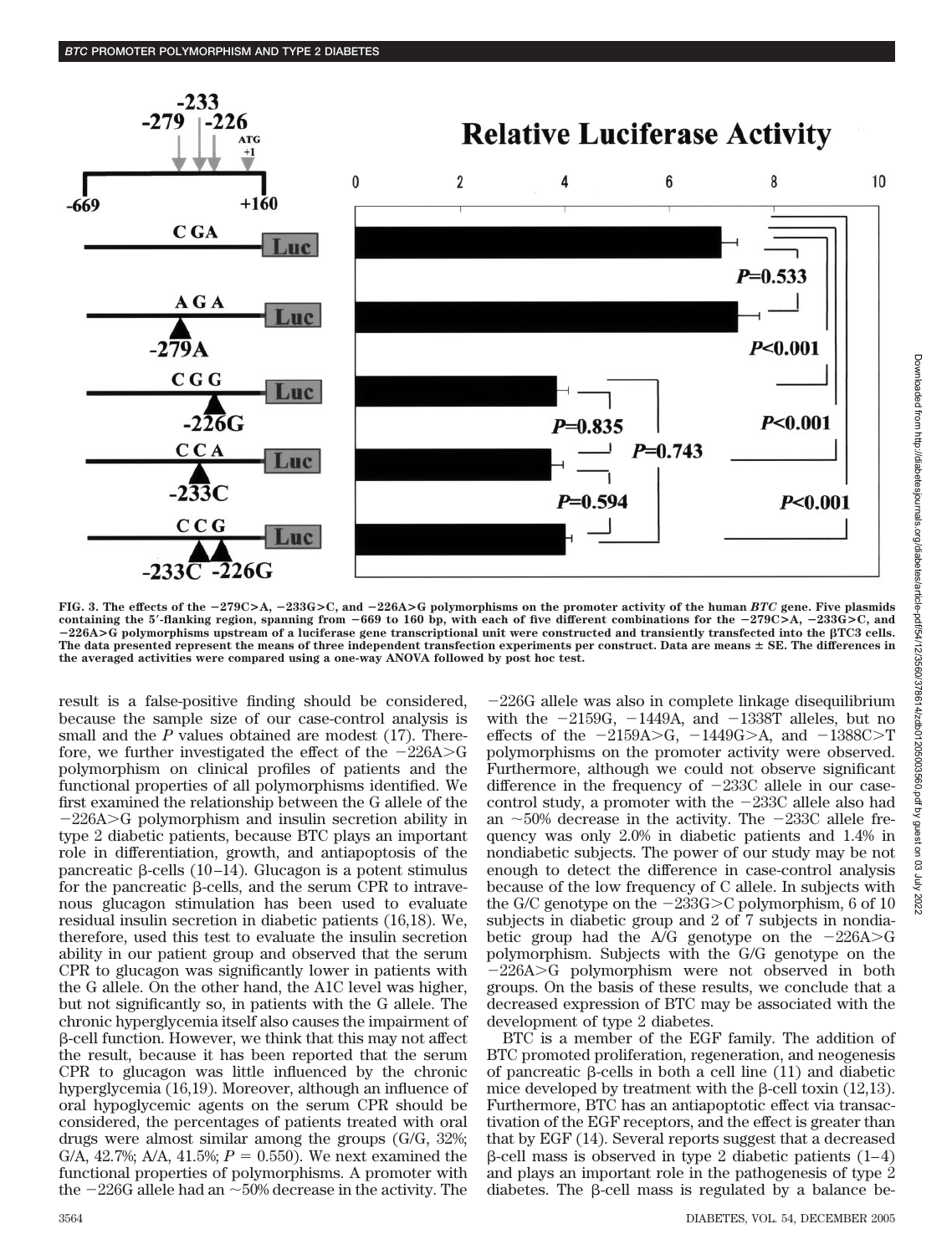

**FIG. 3. The effects of the** -**279C>A,** -**233G>C, and** -**226A>G polymorphisms on the promoter activity of the human** *BTC* **gene. Five plasmids containing the 5-flanking region, spanning from** -**669 to 160 bp, with each of five different combinations for the** -**279C>A,** -**233G>C, and** -**226A>G polymorphisms upstream of a luciferase gene transcriptional unit were constructed and transiently transfected into the TC3 cells. The data presented represent the means of three independent transfection experiments per construct. Data are means SE. The differences in the averaged activities were compared using a one-way ANOVA followed by post hoc test.**

result is a false-positive finding should be considered, because the sample size of our case-control analysis is small and the *P* values obtained are modest (17). Therefore, we further investigated the effect of the  $-226A > G$ polymorphism on clinical profiles of patients and the functional properties of all polymorphisms identified. We first examined the relationship between the G allele of the  $-226A > G$  polymorphism and insulin secretion ability in type 2 diabetic patients, because BTC plays an important role in differentiation, growth, and antiapoptosis of the pancreatic β-cells (10–14). Glucagon is a potent stimulus for the pancreatic  $\beta$ -cells, and the serum CPR to intravenous glucagon stimulation has been used to evaluate residual insulin secretion in diabetic patients (16,18). We, therefore, used this test to evaluate the insulin secretion ability in our patient group and observed that the serum CPR to glucagon was significantly lower in patients with the G allele. On the other hand, the A1C level was higher, but not significantly so, in patients with the G allele. The chronic hyperglycemia itself also causes the impairment of --cell function. However, we think that this may not affect the result, because it has been reported that the serum CPR to glucagon was little influenced by the chronic hyperglycemia (16,19). Moreover, although an influence of oral hypoglycemic agents on the serum CPR should be considered, the percentages of patients treated with oral drugs were almost similar among the groups (G/G, 32%; G/A, 42.7%; A/A, 41.5%;  $P = 0.550$ ). We next examined the functional properties of polymorphisms. A promoter with the  $-226G$  allele had an  $\sim$  50% decrease in the activity. The

226G allele was also in complete linkage disequilibrium with the  $-2159G$ ,  $-1449A$ , and  $-1338T$  alleles, but no effects of the  $-2159A > G$ ,  $-1449G > A$ , and  $-1388C > T$ polymorphisms on the promoter activity were observed. Furthermore, although we could not observe significant difference in the frequency of  $-233C$  allele in our casecontrol study, a promoter with the  $-233C$  allele also had an  $\sim$ 50% decrease in the activity. The  $-233C$  allele frequency was only 2.0% in diabetic patients and 1.4% in nondiabetic subjects. The power of our study may be not enough to detect the difference in case-control analysis because of the low frequency of C allele. In subjects with the G/C genotype on the  $-233G>C$  polymorphism, 6 of 10 subjects in diabetic group and 2 of 7 subjects in nondiabetic group had the A/G genotype on the  $-226A > G$ polymorphism. Subjects with the G/G genotype on the  $-226A > G$  polymorphism were not observed in both groups. On the basis of these results, we conclude that a decreased expression of BTC may be associated with the development of type 2 diabetes.

BTC is a member of the EGF family. The addition of BTC promoted proliferation, regeneration, and neogenesis of pancreatic  $\beta$ -cells in both a cell line (11) and diabetic mice developed by treatment with the  $\beta$ -cell toxin (12,13). Furthermore, BTC has an antiapoptotic effect via transactivation of the EGF receptors, and the effect is greater than that by EGF (14). Several reports suggest that a decreased  $\beta$ -cell mass is observed in type 2 diabetic patients (1–4) and plays an important role in the pathogenesis of type 2 diabetes. The  $\beta$ -cell mass is regulated by a balance be-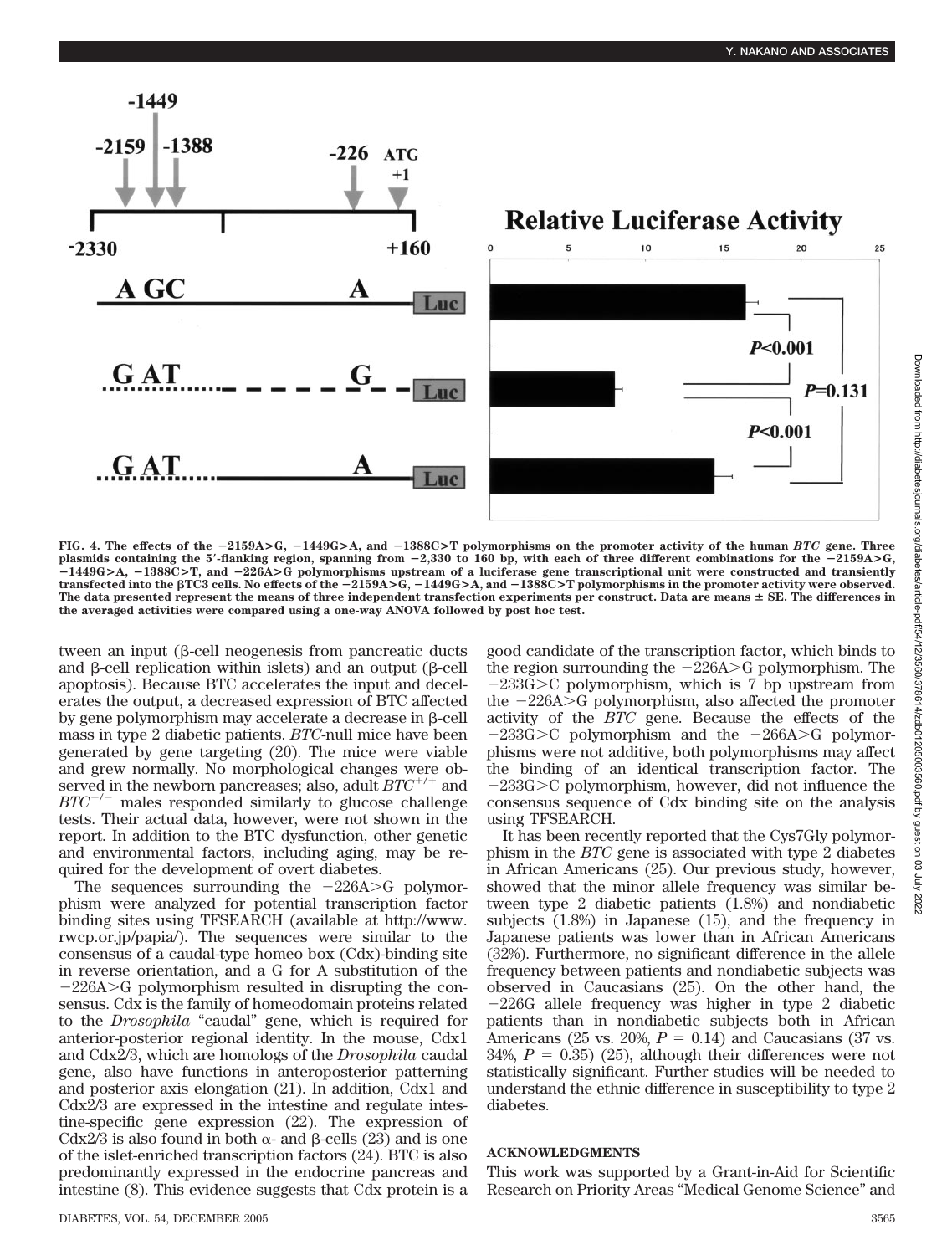

**FIG. 4. The effects of the** -**2159A>G,** -**1449G>A, and** -**1388C>T polymorphisms on the promoter activity of the human** *BTC* **gene. Three plasmids containing the 5-flanking region, spanning from** -**2,330 to 160 bp, with each of three different combinations for the** -**2159A>G,** -**1449G>A,** -**1388C>T, and** -**226A>G polymorphisms upstream of a luciferase gene transcriptional unit were constructed and transiently transfected into the TC3 cells. No effects of the** -**2159A>G,** -**1449G>A, and** -**1388C>T polymorphisms in the promoter activity were observed. The data presented represent the means of three independent transfection experiments per construct. Data are means SE. The differences in the averaged activities were compared using a one-way ANOVA followed by post hoc test.**

tween an input ( $\beta$ -cell neogenesis from pancreatic ducts and  $\beta$ -cell replication within islets) and an output ( $\beta$ -cell apoptosis). Because BTC accelerates the input and decelerates the output, a decreased expression of BTC affected by gene polymorphism may accelerate a decrease in β-cell mass in type 2 diabetic patients. *BTC*-null mice have been generated by gene targeting (20). The mice were viable and grew normally. No morphological changes were observed in the newborn pancreases; also, adult *BTC*<sup>+/+</sup> and  $BTC^{-/-}$  males responded similarly to glucose challenge tests. Their actual data, however, were not shown in the report. In addition to the BTC dysfunction, other genetic and environmental factors, including aging, may be required for the development of overt diabetes.

The sequences surrounding the  $-226A > G$  polymorphism were analyzed for potential transcription factor binding sites using TFSEARCH (available at http://www. rwcp.or.jp/papia/). The sequences were similar to the consensus of a caudal-type homeo box (Cdx)-binding site in reverse orientation, and a G for A substitution of the  $-226A > G$  polymorphism resulted in disrupting the consensus. Cdx is the family of homeodomain proteins related to the *Drosophila* "caudal" gene, which is required for anterior-posterior regional identity. In the mouse, Cdx1 and Cdx2/3, which are homologs of the *Drosophila* caudal gene, also have functions in anteroposterior patterning and posterior axis elongation (21). In addition, Cdx1 and Cdx2/3 are expressed in the intestine and regulate intestine-specific gene expression (22). The expression of Cdx2/3 is also found in both  $\alpha$ - and  $\beta$ -cells (23) and is one of the islet-enriched transcription factors (24). BTC is also predominantly expressed in the endocrine pancreas and intestine (8). This evidence suggests that Cdx protein is a good candidate of the transcription factor, which binds to the region surrounding the  $-226A > G$  polymorphism. The  $-233G>C$  polymorphism, which is 7 bp upstream from the  $-226A > G$  polymorphism, also affected the promoter activity of the *BTC* gene. Because the effects of the  $-233G>C$  polymorphism and the  $-266A>C$  polymorphisms were not additive, both polymorphisms may affect the binding of an identical transcription factor. The  $-233G>C$  polymorphism, however, did not influence the consensus sequence of Cdx binding site on the analysis using TFSEARCH.

It has been recently reported that the Cys7Gly polymorphism in the *BTC* gene is associated with type 2 diabetes in African Americans (25). Our previous study, however, showed that the minor allele frequency was similar between type 2 diabetic patients (1.8%) and nondiabetic subjects (1.8%) in Japanese (15), and the frequency in Japanese patients was lower than in African Americans (32%). Furthermore, no significant difference in the allele frequency between patients and nondiabetic subjects was observed in Caucasians (25). On the other hand, the 226G allele frequency was higher in type 2 diabetic patients than in nondiabetic subjects both in African Americans (25 vs. 20%,  $P = 0.14$ ) and Caucasians (37 vs.  $34\%, P = 0.35$ ) (25), although their differences were not statistically significant. Further studies will be needed to understand the ethnic difference in susceptibility to type 2 diabetes.

#### **ACKNOWLEDGMENTS**

This work was supported by a Grant-in-Aid for Scientific Research on Priority Areas "Medical Genome Science" and